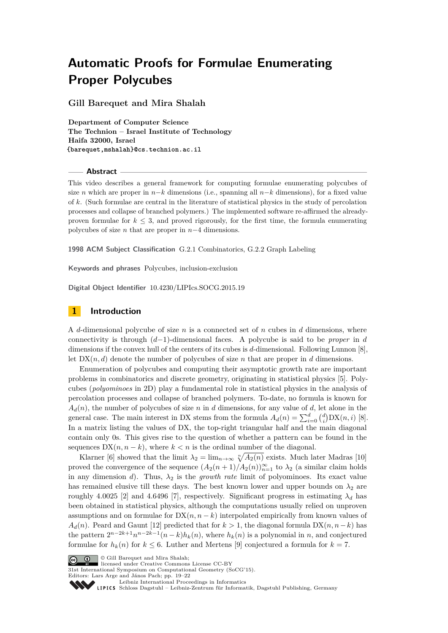# **Automatic Proofs for Formulae Enumerating Proper Polycubes**

**Gill Barequet and Mira Shalah**

**Department of Computer Science The Technion – Israel Institute of Technology Haifa 32000, Israel {barequet,mshalah}@cs.technion.ac.il**

#### **Abstract**

This video describes a general framework for computing formulae enumerating polycubes of size *n* which are proper in *n*−*k* dimensions (i.e., spanning all *n*−*k* dimensions), for a fixed value of *k*. (Such formulae are central in the literature of statistical physics in the study of percolation processes and collapse of branched polymers.) The implemented software re-affirmed the alreadyproven formulae for  $k \leq 3$ , and proved rigorously, for the first time, the formula enumerating polycubes of size *n* that are proper in *n*−4 dimensions.

**1998 ACM Subject Classification** G.2.1 Combinatorics, G.2.2 Graph Labeling

**Keywords and phrases** Polycubes, inclusion-exclusion

**Digital Object Identifier** [10.4230/LIPIcs.SOCG.2015.19](http://dx.doi.org/10.4230/LIPIcs.SOCG.2015.19)

## **1 Introduction**

A *d*-dimensional polycube of size *n* is a connected set of *n* cubes in *d* dimensions, where connectivity is through (*d*−1)-dimensional faces. A polycube is said to be *proper* in *d* dimensions if the convex hull of the centers of its cubes is *d*-dimensional. Following Lunnon [\[8\]](#page-3-0), let  $DX(n, d)$  denote the number of polycubes of size *n* that are proper in *d* dimensions.

Enumeration of polycubes and computing their asymptotic growth rate are important problems in combinatorics and discrete geometry, originating in statistical physics [\[5\]](#page-2-0). Polycubes (*polyominoes* in 2D) play a fundamental role in statistical physics in the analysis of percolation processes and collapse of branched polymers. To-date, no formula is known for  $A_d(n)$ , the number of polycubes of size *n* in *d* dimensions, for any value of *d*, let alone in the general case. The main interest in DX stems from the formula  $A_d(n) = \sum_{i=0}^d {d \choose i} DX(n, i)$  [\[8\]](#page-3-0). In a matrix listing the values of DX, the top-right triangular half and the main diagonal contain only 0s. This gives rise to the question of whether a pattern can be found in the sequences  $DX(n, n - k)$ , where  $k < n$  is the ordinal number of the diagonal.

Klarner [\[6\]](#page-2-1) showed that the limit  $\lambda_2 = \lim_{n \to \infty} \sqrt[n]{A_2(n)}$  exists. Much later Madras [\[10\]](#page-3-1) proved the convergence of the sequence  $(A_2(n+1)/A_2(n))_{n=1}^{\infty}$  to  $\lambda_2$  (a similar claim holds in any dimension *d*). Thus,  $\lambda_2$  is the *growth rate* limit of polyominoes. Its exact value has remained elusive till these days. The best known lower and upper bounds on  $\lambda_2$  are roughly 4.0025 [\[2\]](#page-2-2) and 4.6496 [\[7\]](#page-2-3), respectively. Significant progress in estimating  $\lambda_d$  has been obtained in statistical physics, although the computations usually relied on unproven assumptions and on formulae for  $DX(n, n - k)$  interpolated empirically from known values of  $A_d(n)$ . Peard and Gaunt [\[12\]](#page-3-2) predicted that for  $k > 1$ , the diagonal formula DX $(n, n-k)$  has the pattern  $2^{n-2k+1}n^{n-2k-1}(n-k)h_k(n)$ , where  $h_k(n)$  is a polynomial in *n*, and conjectured formulae for  $h_k(n)$  for  $k \leq 6$ . Luther and Mertens [\[9\]](#page-3-3) conjectured a formula for  $k = 7$ .



licensed under Creative Commons License CC-BY

31st International Symposium on Computational Geometry (SoCG'15).



[Leibniz International Proceedings in Informatics](http://www.dagstuhl.de/lipics/)

Leibniz International Froceedings in Informatik, Dagstuhl Publishing, Germany<br>LIPICS [Schloss Dagstuhl – Leibniz-Zentrum für Informatik, Dagstuhl Publishing, Germany](http://www.dagstuhl.de)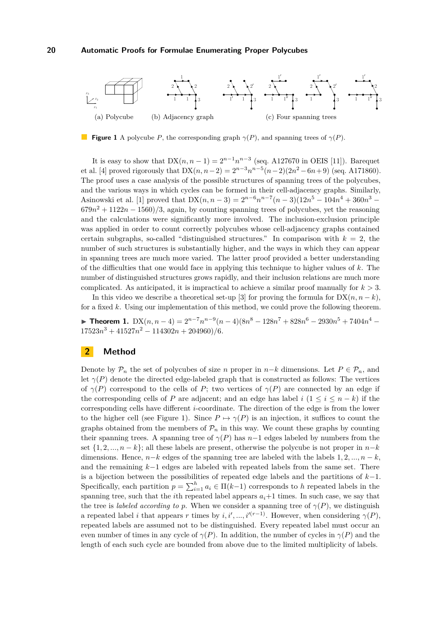<span id="page-1-0"></span>

**Figure 1** A polycube *P*, the corresponding graph  $\gamma(P)$ , and spanning trees of  $\gamma(P)$ .

It is easy to show that  $DX(n, n-1) = 2^{n-1}n^{n-3}$  (seq. A127670 in OEIS [\[11\]](#page-3-5)). Barequet et al. [\[4\]](#page-2-4) proved rigorously that  $DX(n, n-2) = 2^{n-3}n^{n-5}(n-2)(2n^2 - 6n + 9)$  (seq. A171860). The proof uses a case analysis of the possible structures of spanning trees of the polycubes, and the various ways in which cycles can be formed in their cell-adjacency graphs. Similarly, Asinowski et al. [\[1\]](#page-2-5) proved that  $DX(n, n-3) = 2^{n-6}n^{n-7}(n-3)(12n^5 - 104n^4 + 360n^3 679n^2 + 1122n - 1560/3$ , again, by counting spanning trees of polycubes, yet the reasoning and the calculations were significantly more involved. The inclusion-exclusion principle was applied in order to count correctly polycubes whose cell-adjacency graphs contained certain subgraphs, so-called "distinguished structures." In comparison with  $k = 2$ , the number of such structures is substantially higher, and the ways in which they can appear in spanning trees are much more varied. The latter proof provided a better understanding of the difficulties that one would face in applying this technique to higher values of *k*. The number of distinguished structures grows rapidly, and their inclusion relations are much more complicated. As anticipated, it is impractical to achieve a similar proof manually for *k >* 3.

In this video we describe a theoretical set-up [\[3\]](#page-2-6) for proving the formula for  $DX(n, n - k)$ , for a fixed *k*. Using our implementation of this method, we could prove the following theorem.

**► Theorem 1.**  $DX(n, n-4) = 2^{n-7}n^{n-9}(n-4)(8n^8 - 128n^7 + 828n^6 - 2930n^5 + 7404n^4$  $17523n^3 + 41527n^2 - 114302n + 204960/6.$ 

## **2 Method**

Denote by  $\mathcal{P}_n$  the set of polycubes of size *n* proper in *n*−*k* dimensions. Let  $P \in \mathcal{P}_n$ , and let  $\gamma(P)$  denote the directed edge-labeled graph that is constructed as follows: The vertices of  $\gamma(P)$  correspond to the cells of *P*; two vertices of  $\gamma(P)$  are connected by an edge if the corresponding cells of *P* are adjacent; and an edge has label  $i$  ( $1 \leq i \leq n - k$ ) if the corresponding cells have different *i*-coordinate. The direction of the edge is from the lower to the higher cell (see Figure [1\)](#page-1-0). Since  $P \mapsto \gamma(P)$  is an injection, it suffices to count the graphs obtained from the members of  $\mathcal{P}_n$  in this way. We count these graphs by counting their spanning trees. A spanning tree of  $\gamma(P)$  has  $n-1$  edges labeled by numbers from the set  $\{1, 2, ..., n - k\}$ ; all these labels are present, otherwise the polycube is not proper in  $n-k$ dimensions. Hence,  $n-k$  edges of the spanning tree are labeled with the labels 1*,* 2*, ..., n* − *k*, and the remaining *k*−1 edges are labeled with repeated labels from the same set. There is a bijection between the possibilities of repeated edge labels and the partitions of *k*−1. Specifically, each partition  $p = \sum_{i=1}^{h} a_i \in \Pi(k-1)$  corresponds to *h* repeated labels in the spanning tree, such that the *i*th repeated label appears  $a_i+1$  times. In such case, we say that the tree is *labeled according to p*. When we consider a spanning tree of  $\gamma(P)$ , we distinguish a repeated label *i* that appears *r* times by  $i, i', ..., i'^{(r-1)}$ . However, when considering  $\gamma(P)$ , repeated labels are assumed not to be distinguished. Every repeated label must occur an even number of times in any cycle of  $\gamma(P)$ . In addition, the number of cycles in  $\gamma(P)$  and the length of each such cycle are bounded from above due to the limited multiplicity of labels.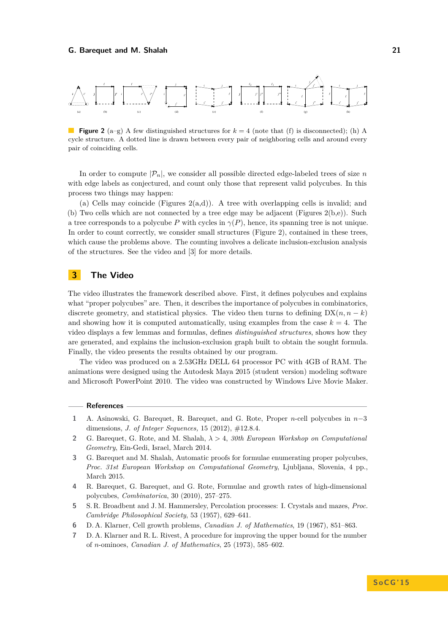## **G. Barequet and M. Shalah 21**

<span id="page-2-7"></span>

**Figure 2** (a–g) A few distinguished structures for  $k = 4$  (note that (f) is disconnected); (h) A cycle structure. A dotted line is drawn between every pair of neighboring cells and around every pair of coinciding cells.

In order to compute  $|\mathcal{P}_n|$ , we consider all possible directed edge-labeled trees of size *n* with edge labels as conjectured, and count only those that represent valid polycubes. In this process two things may happen:

(a) Cells may coincide (Figures  $2(a,d)$ ). A tree with overlapping cells is invalid; and (b) Two cells which are not connected by a tree edge may be adjacent (Figures [2\(](#page-2-7)b,e)). Such a tree corresponds to a polycube *P* with cycles in  $\gamma(P)$ , hence, its spanning tree is not unique. In order to count correctly, we consider small structures (Figure [2\)](#page-2-7), contained in these trees, which cause the problems above. The counting involves a delicate inclusion-exclusion analysis of the structures. See the video and [\[3\]](#page-2-6) for more details.

## **3 The Video**

The video illustrates the framework described above. First, it defines polycubes and explains what "proper polycubes" are. Then, it describes the importance of polycubes in combinatorics, discrete geometry, and statistical physics. The video then turns to defining  $DX(n, n - k)$ and showing how it is computed automatically, using examples from the case  $k = 4$ . The video displays a few lemmas and formulas, defines *distinguished structures*, shows how they are generated, and explains the inclusion-exclusion graph built to obtain the sought formula. Finally, the video presents the results obtained by our program.

The video was produced on a 2.53GHz DELL 64 processor PC with 4GB of RAM. The animations were designed using the Autodesk Maya 2015 (student version) modeling software and Microsoft PowerPoint 2010. The video was constructed by Windows Live Movie Maker.

### **References**

- <span id="page-2-5"></span>**1** A. Asinowski, G. Barequet, R. Barequet, and G. Rote, Proper *n*-cell polycubes in *n*−3 dimensions, *J. of Integer Sequences,* 15 (2012), #12.8.4.
- <span id="page-2-2"></span>**2** G. Barequet, G. Rote, and M. Shalah, *λ >* 4, *30th European Workshop on Computational Geometry*, Ein-Gedi, Israel, March 2014.
- <span id="page-2-6"></span>**3** G. Barequet and M. Shalah, Automatic proofs for formulae enumerating proper polycubes, *Proc. 31st European Workshop on Computational Geometry*, Ljubljana, Slovenia, 4 pp., March 2015.
- <span id="page-2-4"></span>**4** R. Barequet, G. Barequet, and G. Rote, Formulae and growth rates of high-dimensional polycubes, *Combinatorica*, 30 (2010), 257–275.
- <span id="page-2-0"></span>**5** S. R. Broadbent and J. M. Hammersley, Percolation processes: I. Crystals and mazes, *Proc. Cambridge Philosophical Society*, 53 (1957), 629–641.
- <span id="page-2-1"></span>**6** D. A. Klarner, Cell growth problems, *Canadian J. of Mathematics*, 19 (1967), 851–863.
- <span id="page-2-3"></span>**7** D. A. Klarner and R. L. Rivest, A procedure for improving the upper bound for the number of *n*-ominoes, *Canadian J. of Mathematics*, 25 (1973), 585–602.